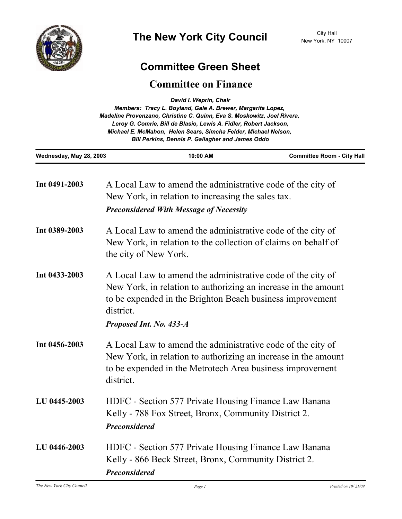

## **Committee Green Sheet**

## **Committee on Finance**

| David I. Weprin, Chair<br>Members: Tracy L. Boyland, Gale A. Brewer, Margarita Lopez,<br>Madeline Provenzano, Christine C. Quinn, Eva S. Moskowitz, Joel Rivera,<br>Leroy G. Comrie, Bill de Blasio, Lewis A. Fidler, Robert Jackson,<br>Michael E. McMahon, Helen Sears, Simcha Felder, Michael Nelson,<br><b>Bill Perkins, Dennis P. Gallagher and James Oddo</b> |                                                                                                                                                                                                                                    |                                                                                                               |  |
|---------------------------------------------------------------------------------------------------------------------------------------------------------------------------------------------------------------------------------------------------------------------------------------------------------------------------------------------------------------------|------------------------------------------------------------------------------------------------------------------------------------------------------------------------------------------------------------------------------------|---------------------------------------------------------------------------------------------------------------|--|
| Wednesday, May 28, 2003                                                                                                                                                                                                                                                                                                                                             | 10:00 AM                                                                                                                                                                                                                           | <b>Committee Room - City Hall</b>                                                                             |  |
| Int 0491-2003                                                                                                                                                                                                                                                                                                                                                       | A Local Law to amend the administrative code of the city of<br>New York, in relation to increasing the sales tax.                                                                                                                  |                                                                                                               |  |
|                                                                                                                                                                                                                                                                                                                                                                     | <b>Preconsidered With Message of Necessity</b>                                                                                                                                                                                     |                                                                                                               |  |
| Int 0389-2003                                                                                                                                                                                                                                                                                                                                                       | A Local Law to amend the administrative code of the city of<br>New York, in relation to the collection of claims on behalf of<br>the city of New York.                                                                             |                                                                                                               |  |
| Int 0433-2003                                                                                                                                                                                                                                                                                                                                                       | A Local Law to amend the administrative code of the city of<br>New York, in relation to authorizing an increase in the amount<br>to be expended in the Brighton Beach business improvement<br>district.<br>Proposed Int. No. 433-A |                                                                                                               |  |
| Int 0456-2003                                                                                                                                                                                                                                                                                                                                                       | A Local Law to amend the administrative code of the city of<br>New York, in relation to authorizing an increase in the amount<br>to be expended in the Metrotech Area business improvement<br>district.                            |                                                                                                               |  |
| LU 0445-2003                                                                                                                                                                                                                                                                                                                                                        | <b>Preconsidered</b>                                                                                                                                                                                                               | HDFC - Section 577 Private Housing Finance Law Banana<br>Kelly - 788 Fox Street, Bronx, Community District 2. |  |
| LU 0446-2003                                                                                                                                                                                                                                                                                                                                                        | HDFC - Section 577 Private Housing Finance Law Banana<br>Kelly - 866 Beck Street, Bronx, Community District 2.<br><b>Preconsidered</b>                                                                                             |                                                                                                               |  |